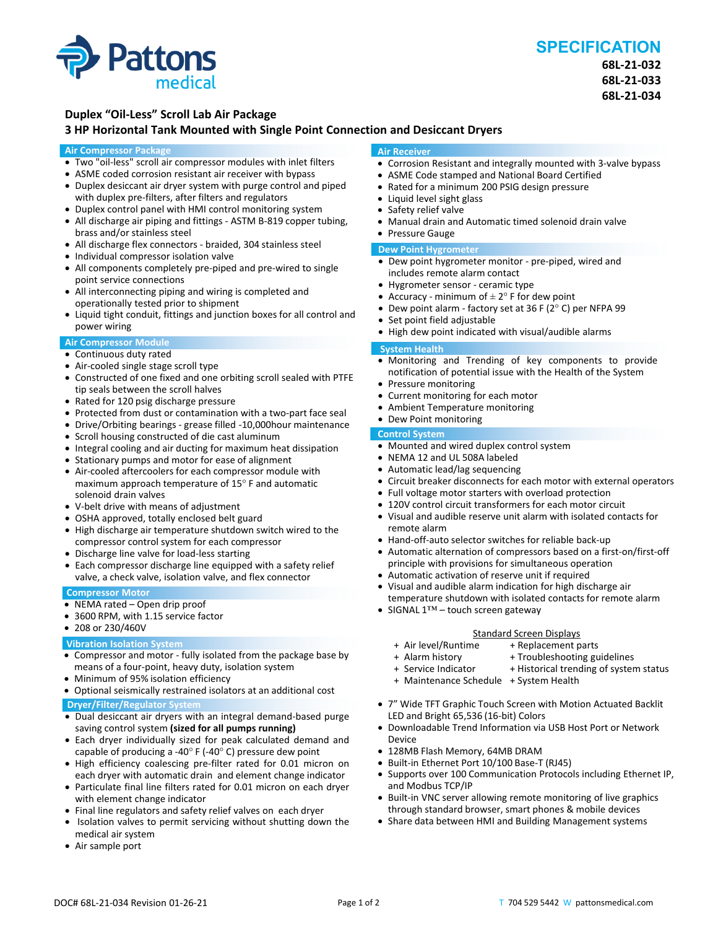

# **SPECIFICATION**

**68L‐21‐032 68L‐21‐033 68L‐21‐034**

## **Duplex "Oil‐Less" Scroll Lab Air Package**

### **3 HP Horizontal Tank Mounted with Single Point Connection and Desiccant Dryers**

#### **Air Compressor Package**

- Two "oil-less" scroll air compressor modules with inlet filters
- ASME coded corrosion resistant air receiver with bypass
- Duplex desiccant air dryer system with purge control and piped with duplex pre-filters, after filters and regulators
- Duplex control panel with HMI control monitoring system
- All discharge air piping and fittings ‐ ASTM B‐819 copper tubing, brass and/or stainless steel
- All discharge flex connectors ‐ braided, 304 stainless steel
- Individual compressor isolation valve
- All components completely pre-piped and pre-wired to single point service connections
- All interconnecting piping and wiring is completed and operationally tested prior to shipment
- Liquid tight conduit, fittings and junction boxes for all control and power wiring

#### **Air Compressor Module**

- Continuous duty rated
- Air-cooled single stage scroll type
- Constructed of one fixed and one orbiting scroll sealed with PTFE tip seals between the scroll halves
- Rated for 120 psig discharge pressure
- Protected from dust or contamination with a two-part face seal
- Drive/Orbiting bearings ‐ grease filled ‐10,000hour maintenance
- Scroll housing constructed of die cast aluminum
- Integral cooling and air ducting for maximum heat dissipation
- Stationary pumps and motor for ease of alignment
- Air-cooled aftercoolers for each compressor module with maximum approach temperature of 15° F and automatic solenoid drain valves
- V‐belt drive with means of adjustment
- OSHA approved, totally enclosed belt guard
- High discharge air temperature shutdown switch wired to the compressor control system for each compressor
- Discharge line valve for load-less starting
- Each compressor discharge line equipped with a safety relief valve, a check valve, isolation valve, and flex connector

#### **Compressor Motor**

- NEMA rated Open drip proof
- 3600 RPM, with 1.15 service factor
- 208 or 230/460V

#### **Vibration Isolation System**

- Compressor and motor ‐ fully isolated from the package base by means of a four‐point, heavy duty, isolation system
- Minimum of 95% isolation efficiency
- Optional seismically restrained isolators at an additional cost **Dryer/Filter/Regulator System**
- Dual desiccant air dryers with an integral demand-based purge saving control system **(sized for all pumps running)**
- Each dryer individually sized for peak calculated demand and capable of producing a -40 $\degree$  F (-40 $\degree$  C) pressure dew point
- High efficiency coalescing pre-filter rated for 0.01 micron on each dryer with automatic drain and element change indicator
- Particulate final line filters rated for 0.01 micron on each dryer with element change indicator
- Final line regulators and safety relief valves on each dryer
- Isolation valves to permit servicing without shutting down the medical air system
- Air sample port

#### **Air Receiver**

- Corrosion Resistant and integrally mounted with 3-valve bypass
- ASME Code stamped and National Board Certified
- Rated for a minimum 200 PSIG design pressure
- Liquid level sight glass
- Safety relief valve
- Manual drain and Automatic timed solenoid drain valve
- Pressure Gauge

#### **Dew Point Hygrometer**

- Dew point hygrometer monitor pre-piped, wired and includes remote alarm contact
- Hygrometer sensor ‐ ceramic type
- Accuracy minimum of  $\pm 2^{\circ}$  F for dew point
- Dew point alarm ‐ factory set at 36 F (2° C) per NFPA 99
- Set point field adjustable
- High dew point indicated with visual/audible alarms

#### **System Health**

- Monitoring and Trending of key components to provide notification of potential issue with the Health of the System
- Pressure monitoring
- Current monitoring for each motor
- Ambient Temperature monitoring
- Dew Point monitoring

## **Control System**

- Mounted and wired duplex control system
- NEMA 12 and UL 508A labeled
- Automatic lead/lag sequencing
- Circuit breaker disconnects for each motor with external operators
- Full voltage motor starters with overload protection
- 120V control circuit transformers for each motor circuit
- Visual and audible reserve unit alarm with isolated contacts for remote alarm
- Hand-off-auto selector switches for reliable back-up
- Automatic alternation of compressors based on a first-on/first-off principle with provisions for simultaneous operation
- Automatic activation of reserve unit if required
- Visual and audible alarm indication for high discharge air temperature shutdown with isolated contacts for remote alarm
- SIGNAL 1™ touch screen gateway

- Standard Screen Displays<br>Air level/Runtime + Replacement p + + Air level/Runtime + Replacement parts
	-
- + Troubleshooting guidelines
- 
- + Maintenance Schedule + System Health
- 7" Wide TFT Graphic Touch Screen with Motion Actuated Backlit LED and Bright 65,536 (16‐bit) Colors
- Downloadable Trend Information via USB Host Port or Network Device
- 128MB Flash Memory, 64MB DRAM
- Built-in Ethernet Port 10/100 Base-T (RJ45)
- Supports over 100 Communication Protocols including Ethernet IP, and Modbus TCP/IP
- Built-in VNC server allowing remote monitoring of live graphics through standard browser, smart phones & mobile devices
- Share data between HMI and Building Management systems
- + Service Indicator + Historical trending of system status
	-